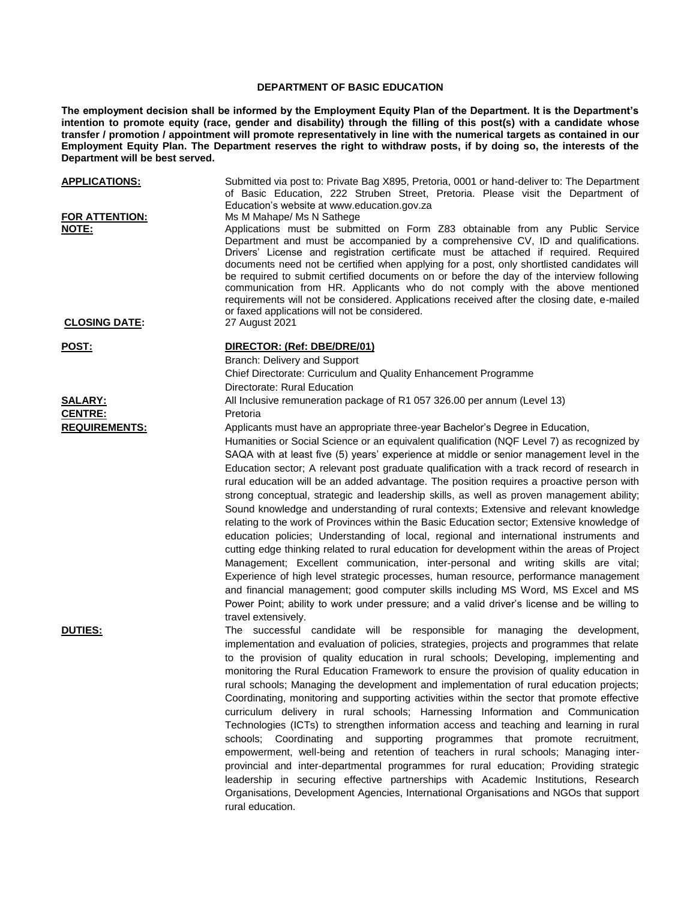## **DEPARTMENT OF BASIC EDUCATION**

**The employment decision shall be informed by the Employment Equity Plan of the Department. It is the Department's intention to promote equity (race, gender and disability) through the filling of this post(s) with a candidate whose transfer / promotion / appointment will promote representatively in line with the numerical targets as contained in our Employment Equity Plan. The Department reserves the right to withdraw posts, if by doing so, the interests of the Department will be best served.**

| <b>APPLICATIONS:</b>                   | Submitted via post to: Private Bag X895, Pretoria, 0001 or hand-deliver to: The Department<br>of Basic Education, 222 Struben Street, Pretoria. Please visit the Department of<br>Education's website at www.education.gov.za                                                                                                                                                                                                                                                                                                                                                                                                                                                                                     |
|----------------------------------------|-------------------------------------------------------------------------------------------------------------------------------------------------------------------------------------------------------------------------------------------------------------------------------------------------------------------------------------------------------------------------------------------------------------------------------------------------------------------------------------------------------------------------------------------------------------------------------------------------------------------------------------------------------------------------------------------------------------------|
| <b>FOR ATTENTION:</b><br>NOTE:         | Ms M Mahape/ Ms N Sathege<br>Applications must be submitted on Form Z83 obtainable from any Public Service<br>Department and must be accompanied by a comprehensive CV, ID and qualifications.<br>Drivers' License and registration certificate must be attached if required. Required<br>documents need not be certified when applying for a post, only shortlisted candidates will<br>be required to submit certified documents on or before the day of the interview following<br>communication from HR. Applicants who do not comply with the above mentioned<br>requirements will not be considered. Applications received after the closing date, e-mailed<br>or faxed applications will not be considered. |
| <b>CLOSING DATE:</b>                   | 27 August 2021                                                                                                                                                                                                                                                                                                                                                                                                                                                                                                                                                                                                                                                                                                    |
| POST:                                  | DIRECTOR: (Ref: DBE/DRE/01)                                                                                                                                                                                                                                                                                                                                                                                                                                                                                                                                                                                                                                                                                       |
|                                        | Branch: Delivery and Support                                                                                                                                                                                                                                                                                                                                                                                                                                                                                                                                                                                                                                                                                      |
|                                        | Chief Directorate: Curriculum and Quality Enhancement Programme                                                                                                                                                                                                                                                                                                                                                                                                                                                                                                                                                                                                                                                   |
|                                        | Directorate: Rural Education                                                                                                                                                                                                                                                                                                                                                                                                                                                                                                                                                                                                                                                                                      |
| <u>SALARY:</u>                         | All Inclusive remuneration package of R1 057 326.00 per annum (Level 13)                                                                                                                                                                                                                                                                                                                                                                                                                                                                                                                                                                                                                                          |
| <b>CENTRE:</b><br><b>REQUIREMENTS:</b> | Pretoria<br>Applicants must have an appropriate three-year Bachelor's Degree in Education,                                                                                                                                                                                                                                                                                                                                                                                                                                                                                                                                                                                                                        |
|                                        | Humanities or Social Science or an equivalent qualification (NQF Level 7) as recognized by                                                                                                                                                                                                                                                                                                                                                                                                                                                                                                                                                                                                                        |
|                                        | SAQA with at least five (5) years' experience at middle or senior management level in the                                                                                                                                                                                                                                                                                                                                                                                                                                                                                                                                                                                                                         |
|                                        | Education sector; A relevant post graduate qualification with a track record of research in                                                                                                                                                                                                                                                                                                                                                                                                                                                                                                                                                                                                                       |
|                                        | rural education will be an added advantage. The position requires a proactive person with                                                                                                                                                                                                                                                                                                                                                                                                                                                                                                                                                                                                                         |
|                                        | strong conceptual, strategic and leadership skills, as well as proven management ability;                                                                                                                                                                                                                                                                                                                                                                                                                                                                                                                                                                                                                         |
|                                        | Sound knowledge and understanding of rural contexts; Extensive and relevant knowledge                                                                                                                                                                                                                                                                                                                                                                                                                                                                                                                                                                                                                             |
|                                        | relating to the work of Provinces within the Basic Education sector; Extensive knowledge of                                                                                                                                                                                                                                                                                                                                                                                                                                                                                                                                                                                                                       |
|                                        | education policies; Understanding of local, regional and international instruments and                                                                                                                                                                                                                                                                                                                                                                                                                                                                                                                                                                                                                            |
|                                        | cutting edge thinking related to rural education for development within the areas of Project                                                                                                                                                                                                                                                                                                                                                                                                                                                                                                                                                                                                                      |
|                                        | Management; Excellent communication, inter-personal and writing skills are vital;                                                                                                                                                                                                                                                                                                                                                                                                                                                                                                                                                                                                                                 |
|                                        | Experience of high level strategic processes, human resource, performance management                                                                                                                                                                                                                                                                                                                                                                                                                                                                                                                                                                                                                              |
|                                        | and financial management; good computer skills including MS Word, MS Excel and MS<br>Power Point; ability to work under pressure; and a valid driver's license and be willing to                                                                                                                                                                                                                                                                                                                                                                                                                                                                                                                                  |
|                                        | travel extensively.                                                                                                                                                                                                                                                                                                                                                                                                                                                                                                                                                                                                                                                                                               |
| <b>DUTIES:</b>                         | The successful candidate will be responsible for managing the development,<br>implementation and evaluation of policies, strategies, projects and programmes that relate<br>to the provision of quality education in rural schools; Developing, implementing and                                                                                                                                                                                                                                                                                                                                                                                                                                                  |
|                                        | monitoring the Rural Education Framework to ensure the provision of quality education in                                                                                                                                                                                                                                                                                                                                                                                                                                                                                                                                                                                                                          |
|                                        | rural schools: Managing the development and implementation of rural education projects:                                                                                                                                                                                                                                                                                                                                                                                                                                                                                                                                                                                                                           |
|                                        | Coordinating, monitoring and supporting activities within the sector that promote effective                                                                                                                                                                                                                                                                                                                                                                                                                                                                                                                                                                                                                       |
|                                        | curriculum delivery in rural schools; Harnessing Information and Communication                                                                                                                                                                                                                                                                                                                                                                                                                                                                                                                                                                                                                                    |
|                                        | Technologies (ICTs) to strengthen information access and teaching and learning in rural                                                                                                                                                                                                                                                                                                                                                                                                                                                                                                                                                                                                                           |
|                                        | schools; Coordinating and supporting programmes that promote recruitment,                                                                                                                                                                                                                                                                                                                                                                                                                                                                                                                                                                                                                                         |
|                                        | empowerment, well-being and retention of teachers in rural schools; Managing inter-                                                                                                                                                                                                                                                                                                                                                                                                                                                                                                                                                                                                                               |
|                                        | provincial and inter-departmental programmes for rural education; Providing strategic                                                                                                                                                                                                                                                                                                                                                                                                                                                                                                                                                                                                                             |
|                                        | leadership in securing effective partnerships with Academic Institutions, Research                                                                                                                                                                                                                                                                                                                                                                                                                                                                                                                                                                                                                                |
|                                        | Organisations, Development Agencies, International Organisations and NGOs that support                                                                                                                                                                                                                                                                                                                                                                                                                                                                                                                                                                                                                            |
|                                        | rural education.                                                                                                                                                                                                                                                                                                                                                                                                                                                                                                                                                                                                                                                                                                  |